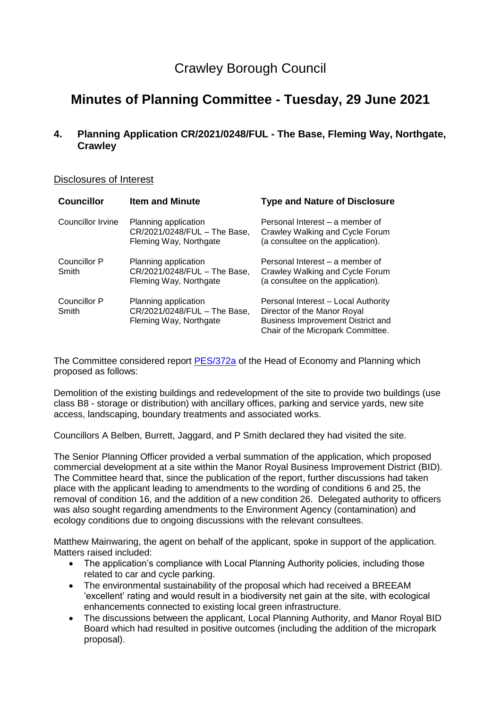## Crawley Borough Council

# **Minutes of Planning Committee - Tuesday, 29 June 2021**

## **4. Planning Application CR/2021/0248/FUL - The Base, Fleming Way, Northgate, Crawley**

#### Disclosures of Interest

| <b>Councillor</b>     | <b>Item and Minute</b>                                                         | <b>Type and Nature of Disclosure</b>                                                                                                         |
|-----------------------|--------------------------------------------------------------------------------|----------------------------------------------------------------------------------------------------------------------------------------------|
| Councillor Irvine     | Planning application<br>CR/2021/0248/FUL - The Base,<br>Fleming Way, Northgate | Personal Interest – a member of<br>Crawley Walking and Cycle Forum<br>(a consultee on the application).                                      |
| Councillor P<br>Smith | Planning application<br>CR/2021/0248/FUL - The Base,<br>Fleming Way, Northgate | Personal Interest – a member of<br>Crawley Walking and Cycle Forum<br>(a consultee on the application).                                      |
| Councillor P<br>Smith | Planning application<br>CR/2021/0248/FUL - The Base,<br>Fleming Way, Northgate | Personal Interest - Local Authority<br>Director of the Manor Royal<br>Business Improvement District and<br>Chair of the Micropark Committee. |

The Committee considered report **PES/372a** of the Head of Economy and Planning which proposed as follows:

Demolition of the existing buildings and redevelopment of the site to provide two buildings (use class B8 - storage or distribution) with ancillary offices, parking and service yards, new site access, landscaping, boundary treatments and associated works.

Councillors A Belben, Burrett, Jaggard, and P Smith declared they had visited the site.

The Senior Planning Officer provided a verbal summation of the application, which proposed commercial development at a site within the Manor Royal Business Improvement District (BID). The Committee heard that, since the publication of the report, further discussions had taken place with the applicant leading to amendments to the wording of conditions 6 and 25, the removal of condition 16, and the addition of a new condition 26. Delegated authority to officers was also sought regarding amendments to the Environment Agency (contamination) and ecology conditions due to ongoing discussions with the relevant consultees.

Matthew Mainwaring, the agent on behalf of the applicant, spoke in support of the application. Matters raised included:

- The application's compliance with Local Planning Authority policies, including those related to car and cycle parking.
- The environmental sustainability of the proposal which had received a BREEAM 'excellent' rating and would result in a biodiversity net gain at the site, with ecological enhancements connected to existing local green infrastructure.
- The discussions between the applicant, Local Planning Authority, and Manor Royal BID Board which had resulted in positive outcomes (including the addition of the micropark proposal).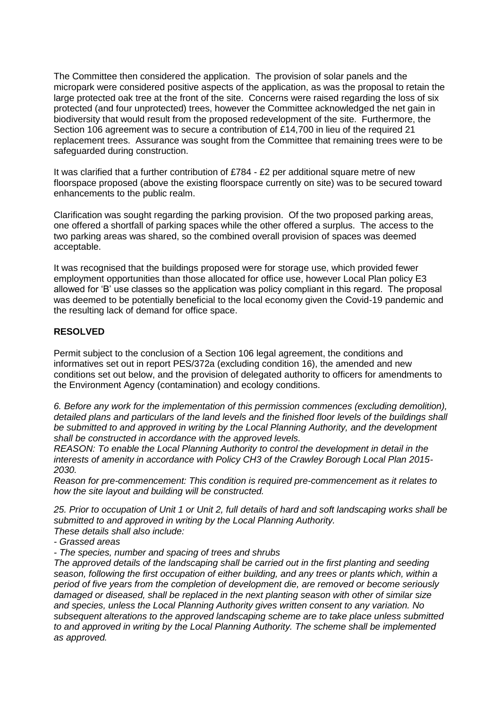The Committee then considered the application. The provision of solar panels and the micropark were considered positive aspects of the application, as was the proposal to retain the large protected oak tree at the front of the site. Concerns were raised regarding the loss of six protected (and four unprotected) trees, however the Committee acknowledged the net gain in biodiversity that would result from the proposed redevelopment of the site. Furthermore, the Section 106 agreement was to secure a contribution of £14,700 in lieu of the required 21 replacement trees. Assurance was sought from the Committee that remaining trees were to be safeguarded during construction.

It was clarified that a further contribution of £784 - £2 per additional square metre of new floorspace proposed (above the existing floorspace currently on site) was to be secured toward enhancements to the public realm.

Clarification was sought regarding the parking provision. Of the two proposed parking areas, one offered a shortfall of parking spaces while the other offered a surplus. The access to the two parking areas was shared, so the combined overall provision of spaces was deemed acceptable.

It was recognised that the buildings proposed were for storage use, which provided fewer employment opportunities than those allocated for office use, however Local Plan policy E3 allowed for 'B' use classes so the application was policy compliant in this regard. The proposal was deemed to be potentially beneficial to the local economy given the Covid-19 pandemic and the resulting lack of demand for office space.

### **RESOLVED**

Permit subject to the conclusion of a Section 106 legal agreement, the conditions and informatives set out in report PES/372a (excluding condition 16), the amended and new conditions set out below, and the provision of delegated authority to officers for amendments to the Environment Agency (contamination) and ecology conditions.

*6. Before any work for the implementation of this permission commences (excluding demolition), detailed plans and particulars of the land levels and the finished floor levels of the buildings shall be submitted to and approved in writing by the Local Planning Authority, and the development shall be constructed in accordance with the approved levels.*

*REASON: To enable the Local Planning Authority to control the development in detail in the interests of amenity in accordance with Policy CH3 of the Crawley Borough Local Plan 2015- 2030.*

*Reason for pre-commencement: This condition is required pre-commencement as it relates to how the site layout and building will be constructed.*

*25. Prior to occupation of Unit 1 or Unit 2, full details of hard and soft landscaping works shall be submitted to and approved in writing by the Local Planning Authority. These details shall also include:* 

*- Grassed areas* 

*- The species, number and spacing of trees and shrubs*

*The approved details of the landscaping shall be carried out in the first planting and seeding season, following the first occupation of either building, and any trees or plants which, within a period of five years from the completion of development die, are removed or become seriously damaged or diseased, shall be replaced in the next planting season with other of similar size and species, unless the Local Planning Authority gives written consent to any variation. No subsequent alterations to the approved landscaping scheme are to take place unless submitted to and approved in writing by the Local Planning Authority. The scheme shall be implemented as approved.*